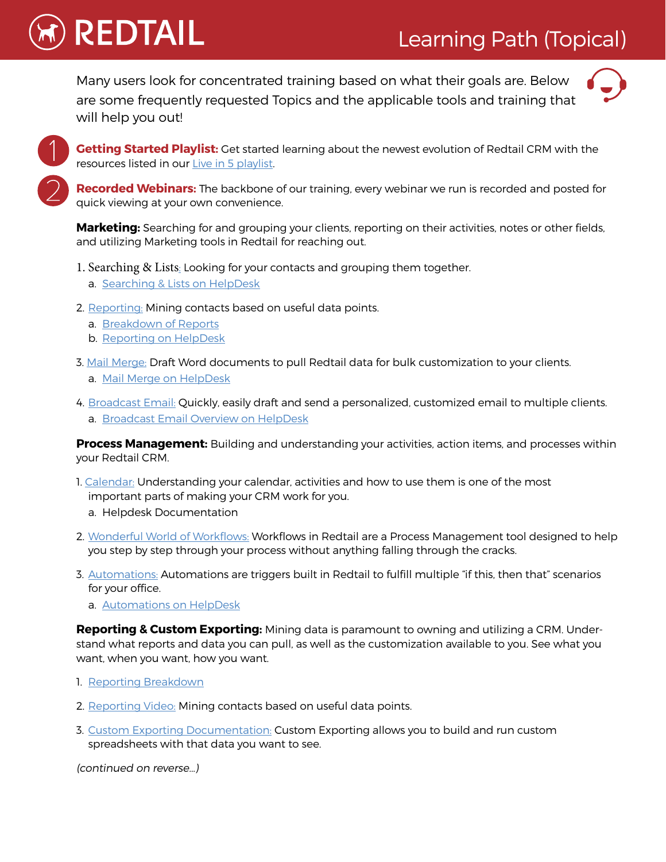# Learning Path (Topical)

Many users look for concentrated training based on what their goals are. Below are some frequently requested Topics and the applicable tools and training that will help you out!



**Getting Started Playlist:** Get started learning about the newest evolution of Redtail CRM with the resources listed in our [Live in 5 playlist.](https://s3.amazonaws.com/redtail-media/Helpdesk/PDFs/19Live.in.FivePlaylist.pdf)

**Recorded Webinars:** The backbone of our training, every [webinar](http://help.redtailtechnology.com/hc/en-us/sections/200708780-Recorded-Webinars-Project-Tailwag) we run is recorded and posted for quick viewing at your own convenience.

**Marketing:** Searching for and grouping your clients, reporting on their activities, notes or other fields, and utilizing Marketing tools in Redtail for reaching out.

- 1. [Searching & Lists](https://help.redtailtechnology.com/hc/en-us/articles/360006591613-Redtail-Essentials-Advanced-Search-14-46-): Looking for your contacts and grouping them together.
	- a. [Searching & Lists on HelpDesk](http://help.redtailtechnology.com/hc/en-us/sections/200709960-Searching-Your-Database)
- 2. [Reporting](https://help.redtailtechnology.com/hc/en-us/articles/360005391414-Redtail-Essentials-Reports-36-38-): Mining contacts based on useful data points.
	- a. [Breakdown of Reports](http://help.redtailtechnology.com/hc/en-us/articles/213590877-Breakdown-of-Available-Standard-Reports)

**REDTAIL** 

- b. [Reporting on HelpDesk](http://help.redtailtechnology.com/hc/en-us/sections/200709860-Reports)
- [3. Mail Merge](https://help.redtailtechnology.com/hc/en-us/articles/360006591433-Redtail-Essentials-Mail-Merge-30-05-): Draft Word documents to pull Redtail data for bulk customization to your clients.
	- a. [Mail Merge on HelpDesk](http://help.redtailtechnology.com/hc/en-us/sections/200709850-Mail-Merge)
- 4. [Broadcast Email:](http://help.redtailtechnology.com/hc/en-us/articles/217702848-Broadcast-Email-14-39-) Quickly, easily draft and send a personalized, customized email to multiple clients. a. [Broadcast Email Overview on HelpDesk](https://help.redtailtechnology.com/hc/en-us/articles/203966650-How-do-I-send-Broadcast-Emails-from-within-Redtail-CRM-#smtp)

**Process Management:** Building and understanding your activities, action items, and processes within your Redtail CRM.

- [1. Calendar:](https://help.redtailtechnology.com/hc/en-us/articles/360005455473-Redtail-Essentials-Calendar-13-28-) Understanding your calendar, activities and how to use them is one of the most important parts of making your CRM work for you.
	- a. [Helpdesk Documentation](http://help.redtailtechnology.com/hc/en-us/sections/200709920-Calendar-Activity-Management)
- 2. [Wonderful World of Workflows](https://help.redtailtechnology.com/hc/en-us/articles/360003569494-Working-Willfully-With-Workflows-May-2018-Series-): Workflows in Redtail are a Process Management tool designed to help you step by step through your process without anything falling through the cracks.
- 3. [Automations](https://help.redtailtechnology.com/hc/en-us/articles/360008866494-Redtail-Essentials-Automations-22-20-): Automations are triggers built in Redtail to fulfill multiple "if this, then that" scenarios for your office.
	- a. [Automations on HelpDesk](http://help.redtailtechnology.com/hc/en-us/articles/203979170)

**Reporting & Custom Exporting:** Mining data is paramount to owning and utilizing a CRM. Understand what reports and data you can pull, as well as the customization available to you. See what you want, when you want, how you want.

- 1. [Reporting Breakdown](http://help.redtailtechnology.com/hc/en-us/articles/213590877-Breakdown-of-Available-Standard-Reports)
- 2. [Reporting Video:](https://help.redtailtechnology.com/hc/en-us/articles/360008866414-Redtail-Essentials-Exports-September-6th-) Mining contacts based on useful data points.
- 3. [Custom Exporting Documentation:](http://help.redtailtechnology.com/hc/en-us/articles/203976580) Custom Exporting allows you to build and run custom spreadsheets with that data you want to see.

(continued on reverse…)